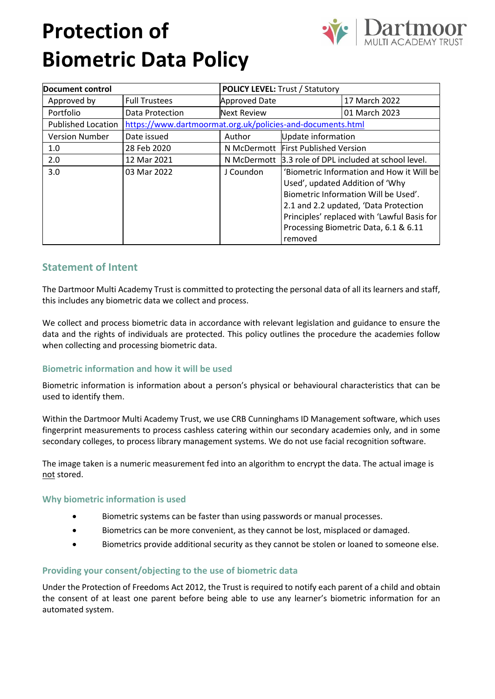# **Protection of Biometric Data Policy**



| Document control          |                                                            | <b>POLICY LEVEL: Trust / Statutory</b> |                                           |                                             |
|---------------------------|------------------------------------------------------------|----------------------------------------|-------------------------------------------|---------------------------------------------|
| Approved by               | <b>Full Trustees</b>                                       | <b>Approved Date</b>                   |                                           | 17 March 2022                               |
| Portfolio                 | Data Protection                                            | <b>Next Review</b>                     |                                           | 01 March 2023                               |
| <b>Published Location</b> | https://www.dartmoormat.org.uk/policies-and-documents.html |                                        |                                           |                                             |
| <b>Version Number</b>     | Date issued                                                | Author                                 | Update information                        |                                             |
| 1.0                       | 28 Feb 2020                                                |                                        | N McDermott First Published Version       |                                             |
| 2.0                       | 12 Mar 2021                                                | N McDermott                            | 3.3 role of DPL included at school level. |                                             |
| 3.0                       | 03 Mar 2022                                                | J Coundon                              | 'Biometric Information and How it Will be |                                             |
|                           |                                                            |                                        | Used', updated Addition of 'Why           |                                             |
|                           |                                                            |                                        | Biometric Information Will be Used'.      |                                             |
|                           |                                                            |                                        | 2.1 and 2.2 updated, 'Data Protection     |                                             |
|                           |                                                            |                                        |                                           | Principles' replaced with 'Lawful Basis for |
|                           |                                                            |                                        |                                           | Processing Biometric Data, 6.1 & 6.11       |
|                           |                                                            |                                        | removed                                   |                                             |

# **Statement of Intent**

The Dartmoor Multi Academy Trust is committed to protecting the personal data of all its learners and staff, this includes any biometric data we collect and process.

We collect and process biometric data in accordance with relevant legislation and guidance to ensure the data and the rights of individuals are protected. This policy outlines the procedure the academies follow when collecting and processing biometric data.

## **Biometric information and how it will be used**

Biometric information is information about a person's physical or behavioural characteristics that can be used to identify them.

Within the Dartmoor Multi Academy Trust, we use CRB Cunninghams ID Management software, which uses fingerprint measurements to process cashless catering within our secondary academies only, and in some secondary colleges, to process library management systems. We do not use facial recognition software.

The image taken is a numeric measurement fed into an algorithm to encrypt the data. The actual image is not stored.

## **Why biometric information is used**

- Biometric systems can be faster than using passwords or manual processes.
- Biometrics can be more convenient, as they cannot be lost, misplaced or damaged.
- Biometrics provide additional security as they cannot be stolen or loaned to someone else.

## **Providing your consent/objecting to the use of biometric data**

Under the Protection of Freedoms Act 2012, the Trust is required to notify each parent of a child and obtain the consent of at least one parent before being able to use any learner's biometric information for an automated system.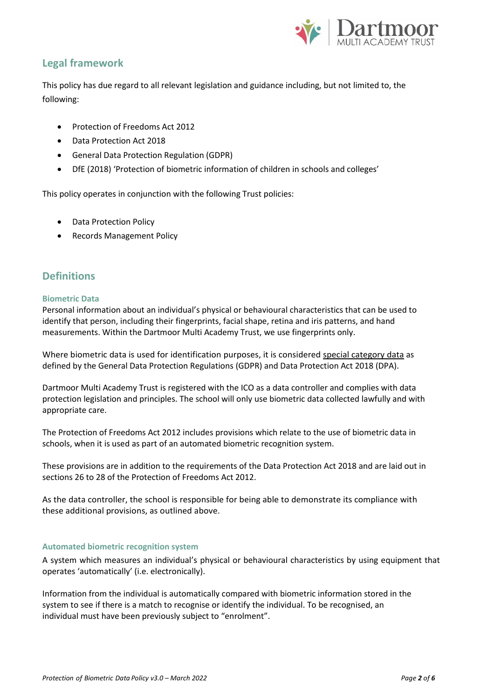

# **Legal framework**

This policy has due regard to all relevant legislation and guidance including, but not limited to, the following:

- Protection of Freedoms Act 2012
- Data Protection Act 2018
- General Data Protection Regulation (GDPR)
- DfE (2018) 'Protection of biometric information of children in schools and colleges'

This policy operates in conjunction with the following Trust policies:

- Data Protection Policy
- Records Management Policy

# **Definitions**

#### **Biometric Data**

Personal information about an individual's physical or behavioural characteristics that can be used to identify that person, including their fingerprints, facial shape, retina and iris patterns, and hand measurements. Within the Dartmoor Multi Academy Trust, we use fingerprints only.

Where biometric data is used for identification purposes, it is considered special category data as defined by the General Data Protection Regulations (GDPR) and Data Protection Act 2018 (DPA).

Dartmoor Multi Academy Trust is registered with the ICO as a data controller and complies with data protection legislation and principles. The school will only use biometric data collected lawfully and with appropriate care.

The Protection of Freedoms Act 2012 includes provisions which relate to the use of biometric data in schools, when it is used as part of an automated biometric recognition system.

These provisions are in addition to the requirements of the Data Protection Act 2018 and are laid out in sections 26 to 28 of the Protection of Freedoms Act 2012.

As the data controller, the school is responsible for being able to demonstrate its compliance with these additional provisions, as outlined above.

#### **Automated biometric recognition system**

A system which measures an individual's physical or behavioural characteristics by using equipment that operates 'automatically' (i.e. electronically).

Information from the individual is automatically compared with biometric information stored in the system to see if there is a match to recognise or identify the individual. To be recognised, an individual must have been previously subject to "enrolment".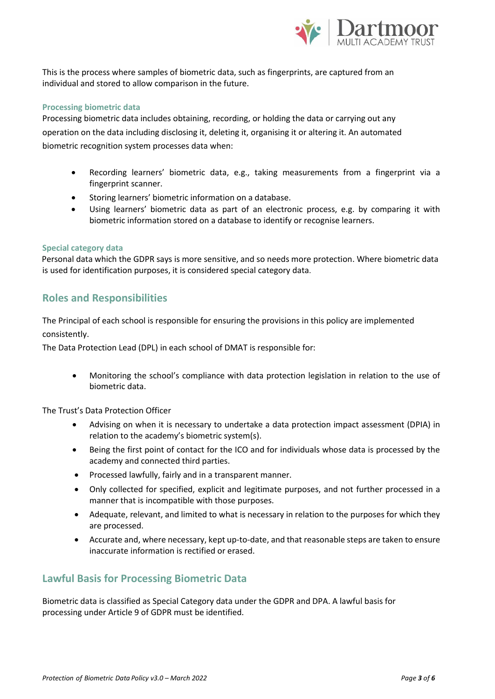

This is the process where samples of biometric data, such as fingerprints, are captured from an individual and stored to allow comparison in the future.

#### **Processing biometric data**

Processing biometric data includes obtaining, recording, or holding the data or carrying out any operation on the data including disclosing it, deleting it, organising it or altering it. An automated biometric recognition system processes data when:

- Recording learners' biometric data, e.g., taking measurements from a fingerprint via a fingerprint scanner.
- Storing learners' biometric information on a database.
- Using learners' biometric data as part of an electronic process, e.g. by comparing it with biometric information stored on a database to identify or recognise learners.

#### **Special category data**

Personal data which the GDPR says is more sensitive, and so needs more protection. Where biometric data is used for identification purposes, it is considered special category data.

## **Roles and Responsibilities**

The Principal of each school is responsible for ensuring the provisions in this policy are implemented consistently.

The Data Protection Lead (DPL) in each school of DMAT is responsible for:

• Monitoring the school's compliance with data protection legislation in relation to the use of biometric data.

The Trust's Data Protection Officer

- Advising on when it is necessary to undertake a data protection impact assessment (DPIA) in relation to the academy's biometric system(s).
- Being the first point of contact for the ICO and for individuals whose data is processed by the academy and connected third parties.
- Processed lawfully, fairly and in a transparent manner.
- Only collected for specified, explicit and legitimate purposes, and not further processed in a manner that is incompatible with those purposes.
- Adequate, relevant, and limited to what is necessary in relation to the purposes for which they are processed.
- Accurate and, where necessary, kept up-to-date, and that reasonable steps are taken to ensure inaccurate information is rectified or erased.

# **Lawful Basis for Processing Biometric Data**

Biometric data is classified as Special Category data under the GDPR and DPA. A lawful basis for processing under Article 9 of GDPR must be identified.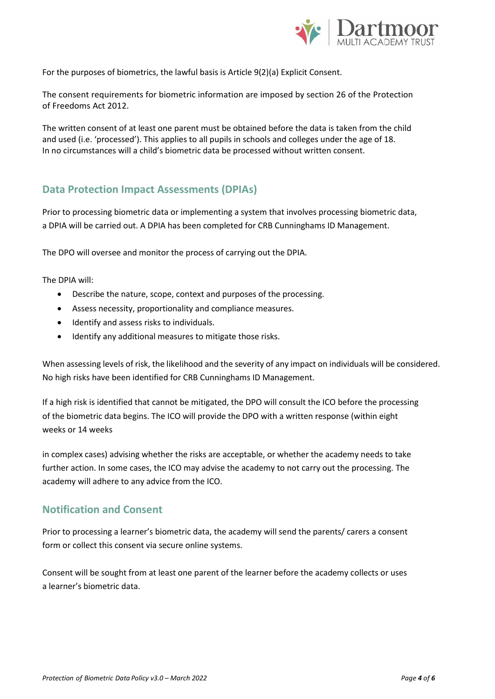

For the purposes of biometrics, the lawful basis is Article 9(2)(a) Explicit Consent.

The consent requirements for biometric information are imposed by section 26 of the Protection of Freedoms Act 2012.

The written consent of at least one parent must be obtained before the data is taken from the child and used (i.e. 'processed'). This applies to all pupils in schools and colleges under the age of 18. In no circumstances will a child's biometric data be processed without written consent.

# **Data Protection Impact Assessments (DPIAs)**

Prior to processing biometric data or implementing a system that involves processing biometric data, a DPIA will be carried out. A DPIA has been completed for CRB Cunninghams ID Management.

The DPO will oversee and monitor the process of carrying out the DPIA.

The DPIA will:

- Describe the nature, scope, context and purposes of the processing.
- Assess necessity, proportionality and compliance measures.
- Identify and assess risks to individuals.
- Identify any additional measures to mitigate those risks.

When assessing levels of risk, the likelihood and the severity of any impact on individuals will be considered. No high risks have been identified for CRB Cunninghams ID Management.

If a high risk is identified that cannot be mitigated, the DPO will consult the ICO before the processing of the biometric data begins. The ICO will provide the DPO with a written response (within eight weeks or 14 weeks

in complex cases) advising whether the risks are acceptable, or whether the academy needs to take further action. In some cases, the ICO may advise the academy to not carry out the processing. The academy will adhere to any advice from the ICO.

## **Notification and Consent**

Prior to processing a learner's biometric data, the academy will send the parents/ carers a consent form or collect this consent via secure online systems.

Consent will be sought from at least one parent of the learner before the academy collects or uses a learner's biometric data.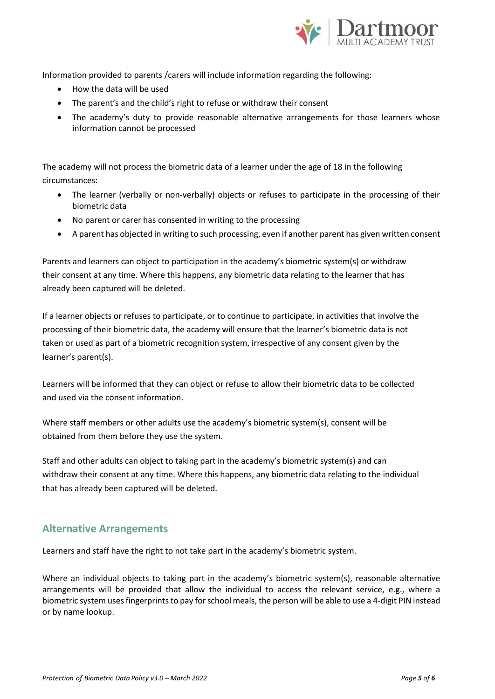

Information provided to parents /carers will include information regarding the following:

- How the data will be used
- The parent's and the child's right to refuse or withdraw their consent
- The academy's duty to provide reasonable alternative arrangements for those learners whose information cannot be processed

The academy will not process the biometric data of a learner under the age of 18 in the following circumstances:

- The learner (verbally or non-verbally) objects or refuses to participate in the processing of their biometric data
- No parent or carer has consented in writing to the processing
- A parent has objected in writing to such processing, even if another parent has given written consent

Parents and learners can object to participation in the academy's biometric system(s) or withdraw their consent at any time. Where this happens, any biometric data relating to the learner that has already been captured will be deleted.

If a learner objects or refuses to participate, or to continue to participate, in activities that involve the processing of their biometric data, the academy will ensure that the learner's biometric data is not taken or used as part of a biometric recognition system, irrespective of any consent given by the learner's parent(s).

Learners will be informed that they can object or refuse to allow their biometric data to be collected and used via the consent information.

Where staff members or other adults use the academy's biometric system(s), consent will be obtained from them before they use the system.

Staff and other adults can object to taking part in the academy's biometric system(s) and can withdraw their consent at any time. Where this happens, any biometric data relating to the individual that has already been captured will be deleted.

## **Alternative Arrangements**

Learners and staff have the right to not take part in the academy's biometric system.

Where an individual objects to taking part in the academy's biometric system(s), reasonable alternative arrangements will be provided that allow the individual to access the relevant service, e.g., where a biometric system uses fingerprints to pay for school meals, the person will be able to use a 4-digit PIN instead or by name lookup.